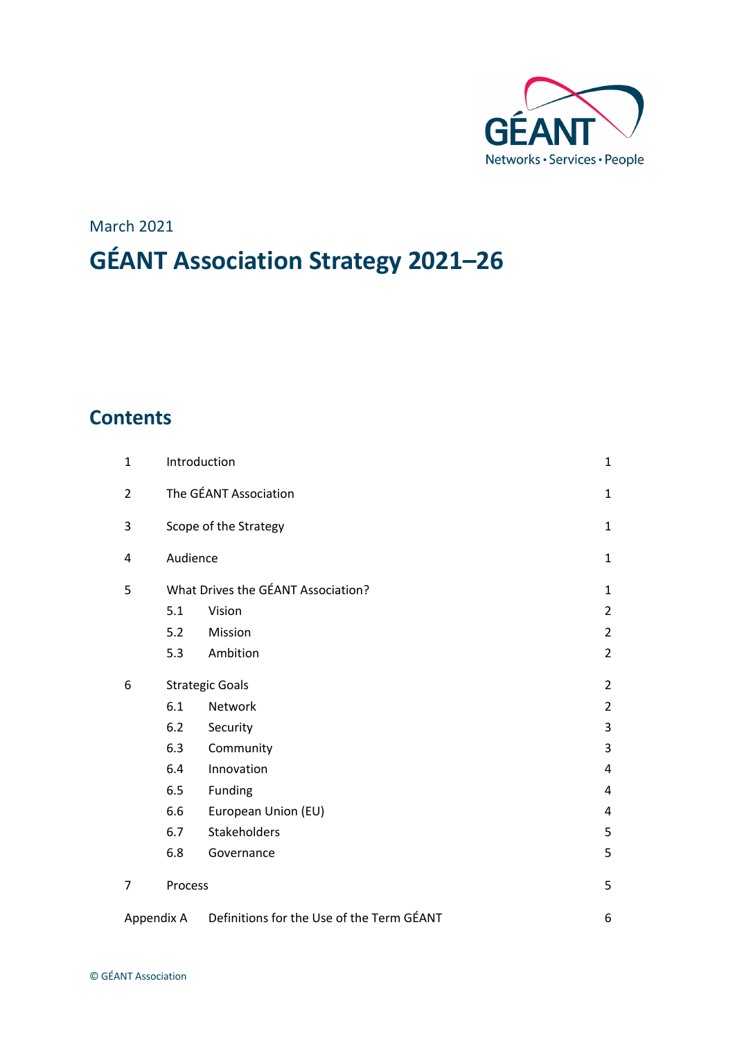

# March 2021 **GÉANT Association Strategy 2021–26**

## **Contents**

| $\mathbf{1}$   | Introduction                       | $\mathbf{1}$                              |                |  |  |
|----------------|------------------------------------|-------------------------------------------|----------------|--|--|
| $\overline{2}$ | The GÉANT Association              |                                           |                |  |  |
| 3              | Scope of the Strategy              |                                           |                |  |  |
| 4              | Audience                           | $\mathbf{1}$                              |                |  |  |
| 5              | What Drives the GÉANT Association? |                                           |                |  |  |
|                | 5.1                                | Vision                                    | $\overline{2}$ |  |  |
|                | 5.2                                | Mission                                   | $\overline{2}$ |  |  |
|                | 5.3                                | Ambition                                  | $\overline{2}$ |  |  |
| 6              | <b>Strategic Goals</b>             |                                           |                |  |  |
|                | 6.1                                | Network                                   | $\overline{2}$ |  |  |
|                | 6.2                                | Security                                  | 3              |  |  |
|                | 6.3                                | Community                                 | 3              |  |  |
|                | 6.4                                | Innovation                                | 4              |  |  |
|                | 6.5                                | Funding                                   | 4              |  |  |
|                | 6.6                                | European Union (EU)                       | 4              |  |  |
|                | 6.7                                | Stakeholders                              | 5              |  |  |
|                | 6.8                                | Governance                                | 5              |  |  |
| 7              | Process                            |                                           | 5              |  |  |
| Appendix A     |                                    | Definitions for the Use of the Term GÉANT | 6              |  |  |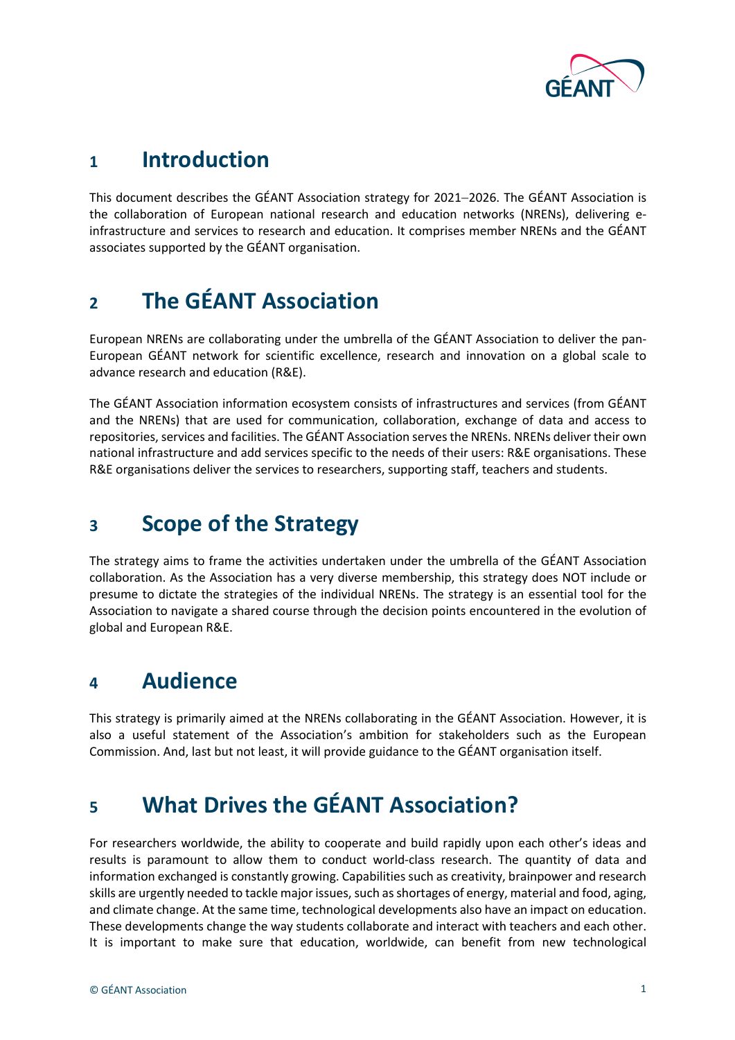

## **<sup>1</sup> Introduction**

This document describes the GÉANT Association strategy for 2021-2026. The GÉANT Association is the collaboration of European national research and education networks (NRENs), delivering einfrastructure and services to research and education. It comprises member NRENs and the GÉANT associates supported by the GÉANT organisation.

## **<sup>2</sup> The GÉANT Association**

European NRENs are collaborating under the umbrella of the GÉANT Association to deliver the pan-European GÉANT network for scientific excellence, research and innovation on a global scale to advance research and education (R&E).

The GÉANT Association information ecosystem consists of infrastructures and services (from GÉANT and the NRENs) that are used for communication, collaboration, exchange of data and access to repositories, services and facilities. The GÉANT Association serves the NRENs. NRENs deliver their own national infrastructure and add services specific to the needs of their users: R&E organisations. These R&E organisations deliver the services to researchers, supporting staff, teachers and students.

## **<sup>3</sup> Scope of the Strategy**

The strategy aims to frame the activities undertaken under the umbrella of the GÉANT Association collaboration. As the Association has a very diverse membership, this strategy does NOT include or presume to dictate the strategies of the individual NRENs. The strategy is an essential tool for the Association to navigate a shared course through the decision points encountered in the evolution of global and European R&E.

## **<sup>4</sup> Audience**

This strategy is primarily aimed at the NRENs collaborating in the GÉANT Association. However, it is also a useful statement of the Association's ambition for stakeholders such as the European Commission. And, last but not least, it will provide guidance to the GÉANT organisation itself.

## **<sup>5</sup> What Drives the GÉANT Association?**

For researchers worldwide, the ability to cooperate and build rapidly upon each other's ideas and results is paramount to allow them to conduct world-class research. The quantity of data and information exchanged is constantly growing. Capabilities such as creativity, brainpower and research skills are urgently needed to tackle major issues, such asshortages of energy, material and food, aging, and climate change. At the same time, technological developments also have an impact on education. These developments change the way students collaborate and interact with teachers and each other. It is important to make sure that education, worldwide, can benefit from new technological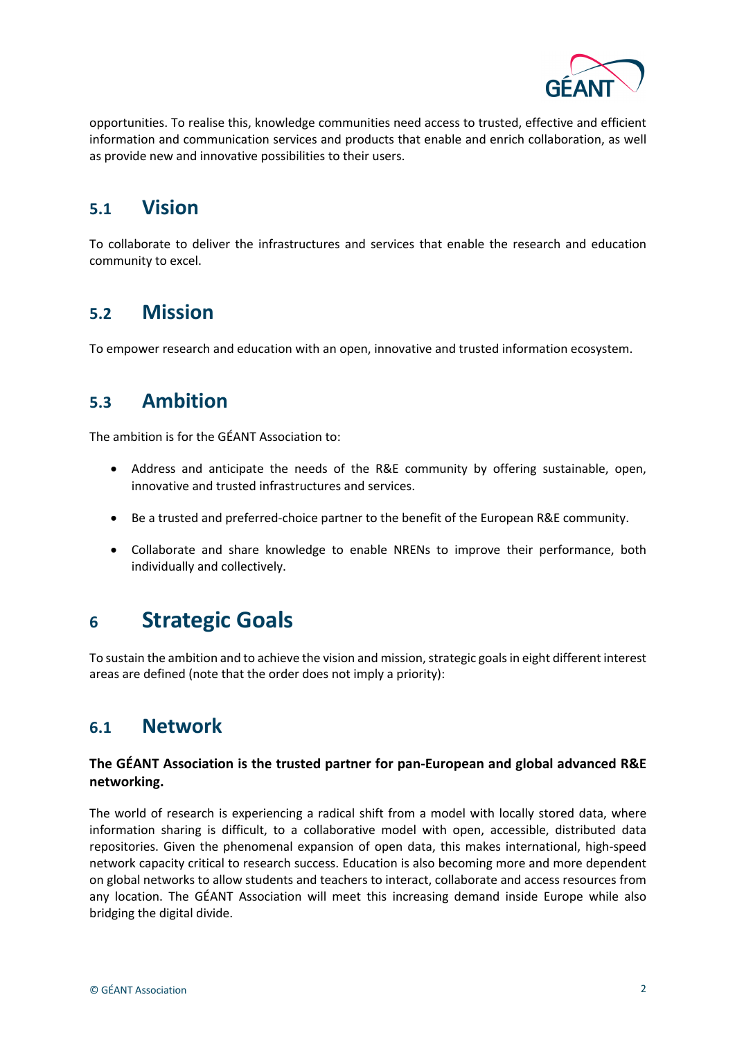

opportunities. To realise this, knowledge communities need access to trusted, effective and efficient information and communication services and products that enable and enrich collaboration, as well as provide new and innovative possibilities to their users.

### **5.1 Vision**

To collaborate to deliver the infrastructures and services that enable the research and education community to excel.

#### **5.2 Mission**

To empower research and education with an open, innovative and trusted information ecosystem.

### **5.3 Ambition**

The ambition is for the GÉANT Association to:

- Address and anticipate the needs of the R&E community by offering sustainable, open, innovative and trusted infrastructures and services.
- Be a trusted and preferred-choice partner to the benefit of the European R&E community.
- Collaborate and share knowledge to enable NRENs to improve their performance, both individually and collectively.

## **<sup>6</sup> Strategic Goals**

To sustain the ambition and to achieve the vision and mission, strategic goals in eight different interest areas are defined (note that the order does not imply a priority):

#### **6.1 Network**

#### **The GÉANT Association is the trusted partner for pan-European and global advanced R&E networking.**

The world of research is experiencing a radical shift from a model with locally stored data, where information sharing is difficult, to a collaborative model with open, accessible, distributed data repositories. Given the phenomenal expansion of open data, this makes international, high-speed network capacity critical to research success. Education is also becoming more and more dependent on global networks to allow students and teachers to interact, collaborate and access resources from any location. The GÉANT Association will meet this increasing demand inside Europe while also bridging the digital divide.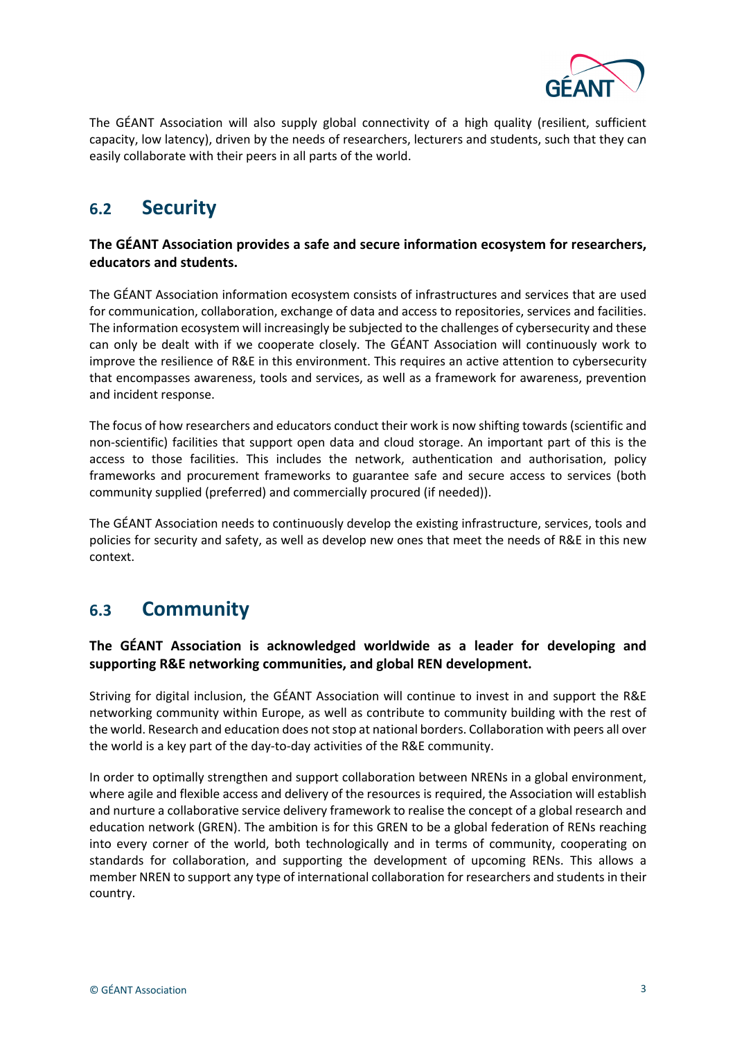

The GÉANT Association will also supply global connectivity of a high quality (resilient, sufficient capacity, low latency), driven by the needs of researchers, lecturers and students, such that they can easily collaborate with their peers in all parts of the world.

### **6.2 Security**

#### **The GÉANT Association provides a safe and secure information ecosystem for researchers, educators and students.**

The GÉANT Association information ecosystem consists of infrastructures and services that are used for communication, collaboration, exchange of data and access to repositories, services and facilities. The information ecosystem will increasingly be subjected to the challenges of cybersecurity and these can only be dealt with if we cooperate closely. The GÉANT Association will continuously work to improve the resilience of R&E in this environment. This requires an active attention to cybersecurity that encompasses awareness, tools and services, as well as a framework for awareness, prevention and incident response.

The focus of how researchers and educators conduct their work is now shifting towards (scientific and non-scientific) facilities that support open data and cloud storage. An important part of this is the access to those facilities. This includes the network, authentication and authorisation, policy frameworks and procurement frameworks to guarantee safe and secure access to services (both community supplied (preferred) and commercially procured (if needed)).

The GÉANT Association needs to continuously develop the existing infrastructure, services, tools and policies for security and safety, as well as develop new ones that meet the needs of R&E in this new context.

### **6.3 Community**

#### **The GÉANT Association is acknowledged worldwide as a leader for developing and supporting R&E networking communities, and global REN development.**

Striving for digital inclusion, the GÉANT Association will continue to invest in and support the R&E networking community within Europe, as well as contribute to community building with the rest of the world. Research and education does not stop at national borders. Collaboration with peers all over the world is a key part of the day-to-day activities of the R&E community.

In order to optimally strengthen and support collaboration between NRENs in a global environment, where agile and flexible access and delivery of the resources is required, the Association will establish and nurture a collaborative service delivery framework to realise the concept of a global research and education network (GREN). The ambition is for this GREN to be a global federation of RENs reaching into every corner of the world, both technologically and in terms of community, cooperating on standards for collaboration, and supporting the development of upcoming RENs. This allows a member NREN to support any type of international collaboration for researchers and students in their country.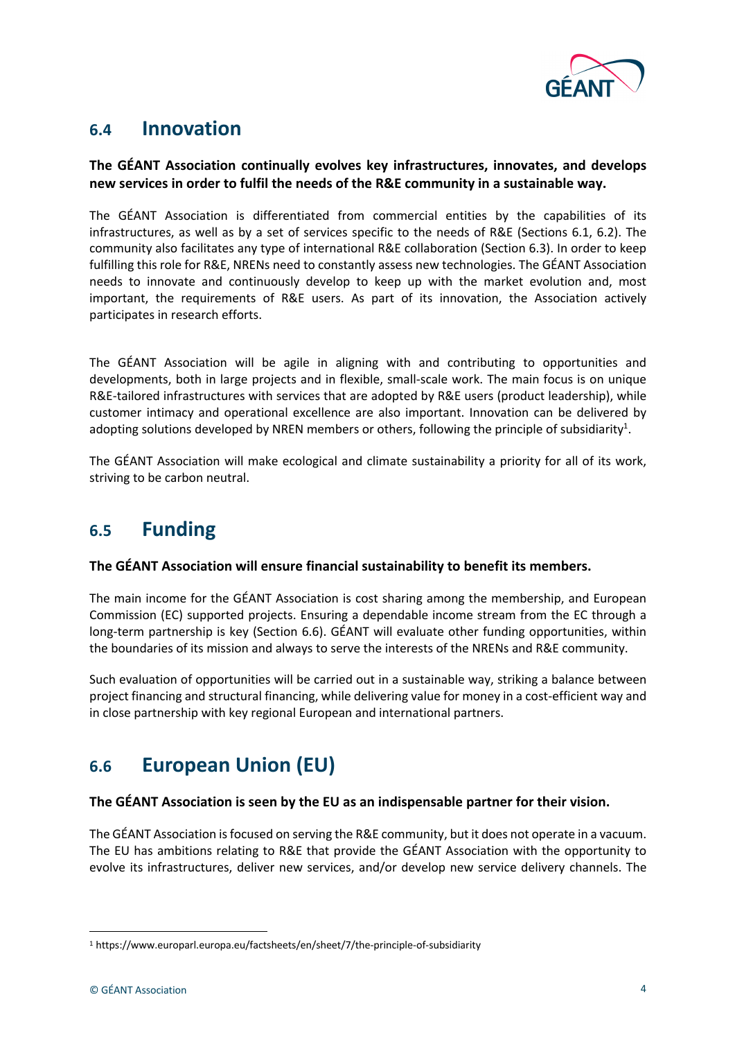

### **6.4 Innovation**

#### **The GÉANT Association continually evolves key infrastructures, innovates, and develops new services in order to fulfil the needs of the R&E community in a sustainable way.**

The GÉANT Association is differentiated from commercial entities by the capabilities of its infrastructures, as well as by a set of services specific to the needs of R&E (Sections 6.1, 6.2). The community also facilitates any type of international R&E collaboration (Section 6.3). In order to keep fulfilling this role for R&E, NRENs need to constantly assess new technologies. The GÉANT Association needs to innovate and continuously develop to keep up with the market evolution and, most important, the requirements of R&E users. As part of its innovation, the Association actively participates in research efforts.

The GÉANT Association will be agile in aligning with and contributing to opportunities and developments, both in large projects and in flexible, small-scale work. The main focus is on unique R&E-tailored infrastructures with services that are adopted by R&E users (product leadership), while customer intimacy and operational excellence are also important. Innovation can be delivered by adopting solutions developed by NREN members or others, following the principle of subsidiarity<sup>1</sup>.

The GÉANT Association will make ecological and climate sustainability a priority for all of its work, striving to be carbon neutral.

### **6.5 Funding**

#### **The GÉANT Association will ensure financial sustainability to benefit its members.**

The main income for the GÉANT Association is cost sharing among the membership, and European Commission (EC) supported projects. Ensuring a dependable income stream from the EC through a long-term partnership is key (Section 6.6). GÉANT will evaluate other funding opportunities, within the boundaries of its mission and always to serve the interests of the NRENs and R&E community.

Such evaluation of opportunities will be carried out in a sustainable way, striking a balance between project financing and structural financing, while delivering value for money in a cost-efficient way and in close partnership with key regional European and international partners.

### **6.6 European Union (EU)**

#### **The GÉANT Association is seen by the EU as an indispensable partner for their vision.**

The GÉANT Association is focused on serving the R&E community, but it does not operate in a vacuum. The EU has ambitions relating to R&E that provide the GÉANT Association with the opportunity to evolve its infrastructures, deliver new services, and/or develop new service delivery channels. The

<sup>1</sup> https://www.europarl.europa.eu/factsheets/en/sheet/7/the-principle-of-subsidiarity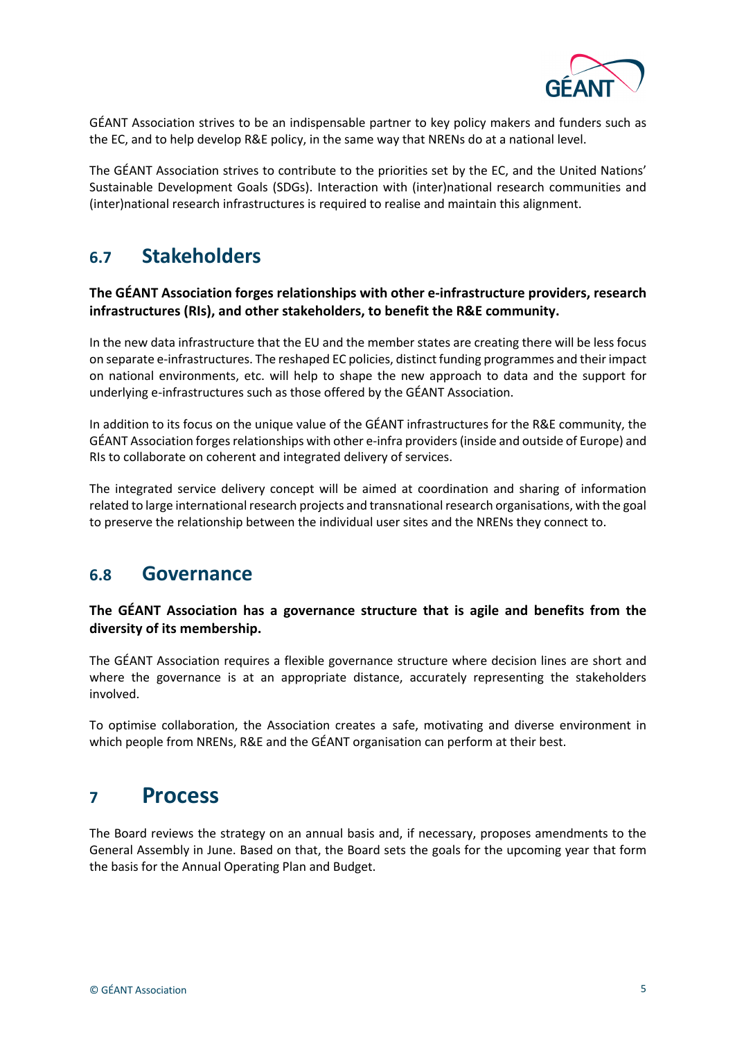

GÉANT Association strives to be an indispensable partner to key policy makers and funders such as the EC, and to help develop R&E policy, in the same way that NRENs do at a national level.

The GÉANT Association strives to contribute to the priorities set by the EC, and the United Nations' Sustainable Development Goals (SDGs). Interaction with (inter)national research communities and (inter)national research infrastructures is required to realise and maintain this alignment.

### **6.7 Stakeholders**

#### **The GÉANT Association forges relationships with other e-infrastructure providers, research infrastructures (RIs), and other stakeholders, to benefit the R&E community.**

In the new data infrastructure that the EU and the member states are creating there will be less focus on separate e-infrastructures. The reshaped EC policies, distinct funding programmes and their impact on national environments, etc. will help to shape the new approach to data and the support for underlying e-infrastructures such as those offered by the GÉANT Association.

In addition to its focus on the unique value of the GÉANT infrastructures for the R&E community, the GÉANT Association forges relationships with other e-infra providers (inside and outside of Europe) and RIs to collaborate on coherent and integrated delivery of services.

The integrated service delivery concept will be aimed at coordination and sharing of information related to large international research projects and transnational research organisations, with the goal to preserve the relationship between the individual user sites and the NRENs they connect to.

#### **6.8 Governance**

#### **The GÉANT Association has a governance structure that is agile and benefits from the diversity of its membership.**

The GÉANT Association requires a flexible governance structure where decision lines are short and where the governance is at an appropriate distance, accurately representing the stakeholders involved.

To optimise collaboration, the Association creates a safe, motivating and diverse environment in which people from NRENs, R&E and the GÉANT organisation can perform at their best.

### **<sup>7</sup> Process**

The Board reviews the strategy on an annual basis and, if necessary, proposes amendments to the General Assembly in June. Based on that, the Board sets the goals for the upcoming year that form the basis for the Annual Operating Plan and Budget.